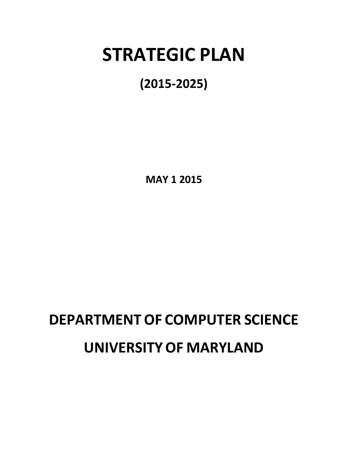## **STRATEGIC PLAN**

### **(2015-2025)**

**MAY 1 2015**

# **DEPARTMENT OF COMPUTER SCIENCE**

## **UNIVERSITY OF MARYLAND**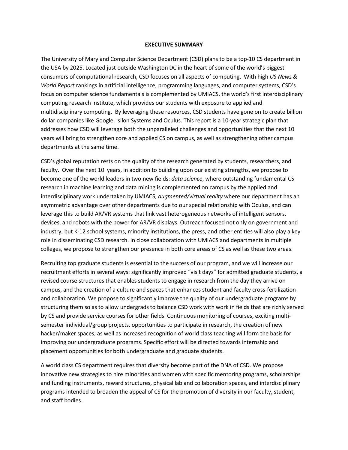#### **EXECUTIVE SUMMARY**

The University of Maryland Computer Science Department (CSD) plans to be a top-10 CS department in the USA by 2025. Located just outside Washington DC in the heart of some of the world's biggest consumers of computational research, CSD focuses on all aspects of computing. With high *US News & World Report* rankings in artificial intelligence, programming languages, and computer systems, CSD's focus on computer science fundamentals is complemented by UMIACS, the world's first interdisciplinary computing research institute, which provides our students with exposure to applied and multidisciplinary computing. By leveraging these resources, CSD students have gone on to create billion dollar companies like Google, Isilon Systems and Oculus. This report is a 10-year strategic plan that addresses how CSD will leverage both the unparalleled challenges and opportunities that the next 10 years will bring to strengthen core and applied CS on campus, as well as strengthening other campus departments at the same time.

CSD's global reputation rests on the quality of the research generated by students, researchers, and faculty. Over the next 10 years, in addition to building upon our existing strengths, we propose to become one of the world leaders in two new fields: *data science*, where outstanding fundamental CS research in machine learning and data mining is complemented on campus by the applied and interdisciplinary work undertaken by UMIACS, *augmented/virtual reality* where our department has an asymmetric advantage over other departments due to our special relationship with Oculus, and can leverage this to build AR/VR systems that link vast heterogeneous networks of intelligent sensors, devices, and robots with the power for AR/VR displays. Outreach focused not only on government and industry, but K-12 school systems, minority institutions, the press, and other entities will also play a key role in disseminating CSD research. In close collaboration with UMIACS and departments in multiple colleges, we propose to strengthen our presence in both core areas of CS as well as these two areas.

Recruiting top graduate students is essential to the success of our program, and we will increase our recruitment efforts in several ways: significantly improved "visit days" for admitted graduate students, a revised course structures that enables students to engage in research from the day they arrive on campus, and the creation of a culture and spaces that enhances student and faculty cross-fertilization and collaboration. We propose to significantly improve the quality of our undergraduate programs by structuring them so as to allow undergrads to balance CSD work with work in fields that are richly served by CS and provide service courses for other fields. Continuous monitoring of courses, exciting multisemester individual/group projects, opportunities to participate in research, the creation of new hacker/maker spaces, as well as increased recognition of world class teaching will form the basis for improving our undergraduate programs. Specific effort will be directed towards internship and placement opportunities for both undergraduate and graduate students.

A world class CS department requires that diversity become part of the DNA of CSD. We propose innovative new strategies to hire minorities and women with specific mentoring programs, scholarships and funding instruments, reward structures, physical lab and collaboration spaces, and interdisciplinary programs intended to broaden the appeal of CS for the promotion of diversity in our faculty, student, and staff bodies.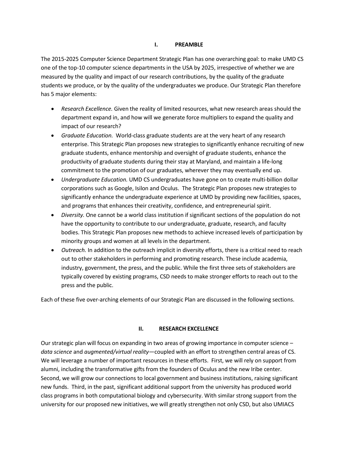#### **I. PREAMBLE**

The 2015-2025 Computer Science Department Strategic Plan has one overarching goal: to make UMD CS one of the top-10 computer science departments in the USA by 2025, irrespective of whether we are measured by the quality and impact of our research contributions, by the quality of the graduate students we produce, or by the quality of the undergraduates we produce. Our Strategic Plan therefore has 5 major elements:

- *Research Excellence.* Given the reality of limited resources, what new research areas should the department expand in, and how will we generate force multipliers to expand the quality and impact of our research?
- *Graduate Education.* World-class graduate students are at the very heart of any research enterprise. This Strategic Plan proposes new strategies to significantly enhance recruiting of new graduate students, enhance mentorship and oversight of graduate students, enhance the productivity of graduate students during their stay at Maryland, and maintain a life-long commitment to the promotion of our graduates, wherever they may eventually end up.
- *Undergraduate Education.* UMD CS undergraduates have gone on to create multi-billion dollar corporations such as Google, Isilon and Oculus. The Strategic Plan proposes new strategies to significantly enhance the undergraduate experience at UMD by providing new facilities, spaces, and programs that enhances their creativity, confidence, and entrepreneurial spirit.
- *Diversity.* One cannot be a world class institution if significant sections of the population do not have the opportunity to contribute to our undergraduate, graduate, research, and faculty bodies. This Strategic Plan proposes new methods to achieve increased levels of participation by minority groups and women at all levels in the department.
- *Outreach*. In addition to the outreach implicit in diversity efforts, there is a critical need to reach out to other stakeholders in performing and promoting research. These include academia, industry, government, the press, and the public. While the first three sets of stakeholders are typically covered by existing programs, CSD needs to make stronger efforts to reach out to the press and the public.

Each of these five over-arching elements of our Strategic Plan are discussed in the following sections.

#### **II. RESEARCH EXCELLENCE**

Our strategic plan will focus on expanding in two areas of growing importance in computer science – *data science* and *augmented/virtual reality*—coupled with an effort to strengthen central areas of CS. We will leverage a number of important resources in these efforts. First, we will rely on support from alumni, including the transformative gifts from the founders of Oculus and the new Iribe center. Second, we will grow our connections to local government and business institutions, raising significant new funds. Third, in the past, significant additional support from the university has produced world class programs in both computational biology and cybersecurity. With similar strong support from the university for our proposed new initiatives, we will greatly strengthen not only CSD, but also UMIACS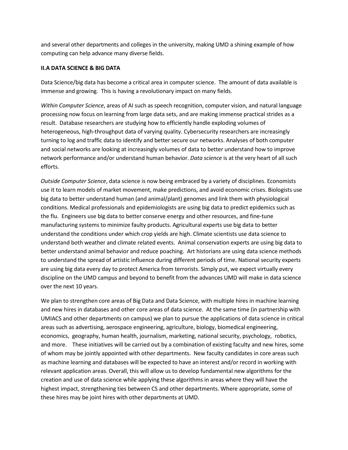and several other departments and colleges in the university, making UMD a shining example of how computing can help advance many diverse fields.

#### **II.A DATA SCIENCE & BIG DATA**

Data Science/big data has become a critical area in computer science. The amount of data available is immense and growing. This is having a revolutionary impact on many fields.

*Within Computer Science*, areas of AI such as speech recognition, computer vision, and natural language processing now focus on learning from large data sets, and are making immense practical strides as a result. Database researchers are studying how to efficiently handle exploding volumes of heterogeneous, high-throughput data of varying quality. Cybersecurity researchers are increasingly turning to log and traffic data to identify and better secure our networks. Analyses of both computer and social networks are looking at increasingly volumes of data to better understand how to improve network performance and/or understand human behavior. *Data science* is at the very heart of all such efforts.

*Outside Computer Science*, data science is now being embraced by a variety of disciplines. Economists use it to learn models of market movement, make predictions, and avoid economic crises. Biologists use big data to better understand human (and animal/plant) genomes and link them with physiological conditions. Medical professionals and epidemiologists are using big data to predict epidemics such as the flu. Engineers use big data to better conserve energy and other resources, and fine-tune manufacturing systems to minimize faulty products. Agricultural experts use big data to better understand the conditions under which crop yields are high. Climate scientists use data science to understand both weather and climate related events. Animal conservation experts are using big data to better understand animal behavior and reduce poaching. Art historians are using data science methods to understand the spread of artistic influence during different periods of time. National security experts are using big data every day to protect America from terrorists. Simply put, we expect virtually every discipline on the UMD campus and beyond to benefit from the advances UMD will make in data science over the next 10 years.

We plan to strengthen core areas of Big Data and Data Science, with multiple hires in machine learning and new hires in databases and other core areas of data science. At the same time (in partnership with UMIACS and other departments on campus) we plan to pursue the applications of data science in critical areas such as advertising, aerospace engineering, agriculture, biology, biomedical engineering, economics, geography, human health, journalism, marketing, national security, psychology, robotics, and more. These initiatives will be carried out by a combination of existing faculty and new hires, some of whom may be jointly appointed with other departments. New faculty candidates in core areas such as machine learning and databases will be expected to have an interest and/or record in working with relevant application areas. Overall, this will allow us to develop fundamental new algorithms for the creation and use of data science while applying these algorithms in areas where they will have the highest impact, strengthening ties between CS and other departments. Where appropriate, some of these hires may be joint hires with other departments at UMD.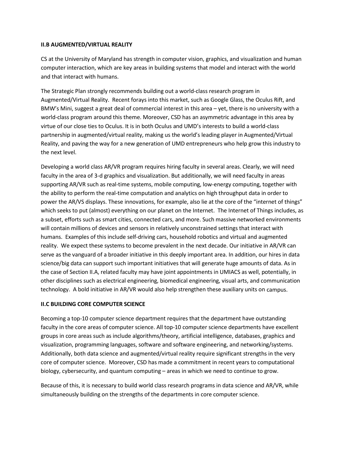#### **II.B AUGMENTED/VIRTUAL REALITY**

CS at the University of Maryland has strength in computer vision, graphics, and visualization and human computer interaction, which are key areas in building systems that model and interact with the world and that interact with humans.

The Strategic Plan strongly recommends building out a world-class research program in Augmented/Virtual Reality. Recent forays into this market, such as Google Glass, the Oculus Rift, and BMW's Mini, suggest a great deal of commercial interest in this area – yet, there is no university with a world-class program around this theme. Moreover, CSD has an asymmetric advantage in this area by virtue of our close ties to Oculus. It is in both Oculus and UMD's interests to build a world-class partnership in augmented/virtual reality, making us the world's leading player in Augmented/Virtual Reality, and paving the way for a new generation of UMD entrepreneurs who help grow this industry to the next level.

Developing a world class AR/VR program requires hiring faculty in several areas. Clearly, we will need faculty in the area of 3-d graphics and visualization. But additionally, we will need faculty in areas supporting AR/VR such as real-time systems, mobile computing, low-energy computing, together with the ability to perform the real-time computation and analytics on high throughput data in order to power the AR/VS displays. These innovations, for example, also lie at the core of the "internet of things" which seeks to put (almost) everything on our planet on the Internet. The Internet of Things includes, as a subset, efforts such as smart cities, connected cars, and more. Such massive networked environments will contain millions of devices and sensors in relatively unconstrained settings that interact with humans. Examples of this include self-driving cars, household robotics and virtual and augmented reality. We expect these systems to become prevalent in the next decade. Our initiative in AR/VR can serve as the vanguard of a broader initiative in this deeply important area. In addition, our hires in data science/big data can support such important initiatives that will generate huge amounts of data. As in the case of Section II.A, related faculty may have joint appointments in UMIACS as well, potentially, in other disciplines such as electrical engineering, biomedical engineering, visual arts, and communication technology. A bold initiative in AR/VR would also help strengthen these auxiliary units on campus.

#### **II.C BUILDING CORE COMPUTER SCIENCE**

Becoming a top-10 computer science department requires that the department have outstanding faculty in the core areas of computer science. All top-10 computer science departments have excellent groups in core areas such as include algorithms/theory, artificial intelligence, databases, graphics and visualization, programming languages, software and software engineering, and networking/systems. Additionally, both data science and augmented/virtual reality require significant strengths in the very core of computer science. Moreover, CSD has made a commitment in recent years to computational biology, cybersecurity, and quantum computing – areas in which we need to continue to grow.

Because of this, it is necessary to build world class research programs in data science and AR/VR, while simultaneously building on the strengths of the departments in core computer science.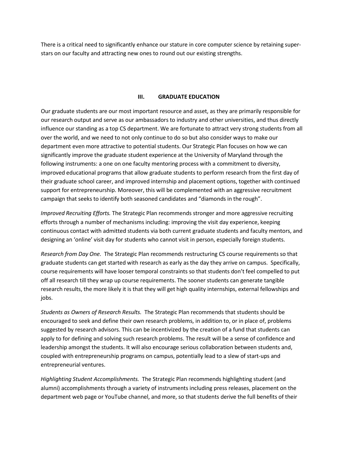There is a critical need to significantly enhance our stature in core computer science by retaining superstars on our faculty and attracting new ones to round out our existing strengths.

#### **III. GRADUATE EDUCATION**

Our graduate students are our most important resource and asset, as they are primarily responsible for our research output and serve as our ambassadors to industry and other universities, and thus directly influence our standing as a top CS department. We are fortunate to attract very strong students from all over the world, and we need to not only continue to do so but also consider ways to make our department even more attractive to potential students. Our Strategic Plan focuses on how we can significantly improve the graduate student experience at the University of Maryland through the following instruments: a one on one faculty mentoring process with a commitment to diversity, improved educational programs that allow graduate students to perform research from the first day of their graduate school career, and improved internship and placement options, together with continued support for entrepreneurship. Moreover, this will be complemented with an aggressive recruitment campaign that seeks to identify both seasoned candidates and "diamonds in the rough".

*Improved Recruiting Efforts.* The Strategic Plan recommends stronger and more aggressive recruiting efforts through a number of mechanisms including: improving the visit day experience, keeping continuous contact with admitted students via both current graduate students and faculty mentors, and designing an 'online' visit day for students who cannot visit in person, especially foreign students.

*Research from Day One.* The Strategic Plan recommends restructuring CS course requirements so that graduate students can get started with research as early as the day they arrive on campus. Specifically, course requirements will have looser temporal constraints so that students don't feel compelled to put off all research till they wrap up course requirements. The sooner students can generate tangible research results, the more likely it is that they will get high quality internships, external fellowships and jobs.

*Students as Owners of Research Results.* The Strategic Plan recommends that students should be encouraged to seek and define their own research problems, in addition to, or in place of, problems suggested by research advisors. This can be incentivized by the creation of a fund that students can apply to for defining and solving such research problems. The result will be a sense of confidence and leadership amongst the students. It will also encourage serious collaboration between students and, coupled with entrepreneurship programs on campus, potentially lead to a slew of start-ups and entrepreneurial ventures.

*Highlighting Student Accomplishments.* The Strategic Plan recommends highlighting student (and alumni) accomplishments through a variety of instruments including press releases, placement on the department web page or YouTube channel, and more, so that students derive the full benefits of their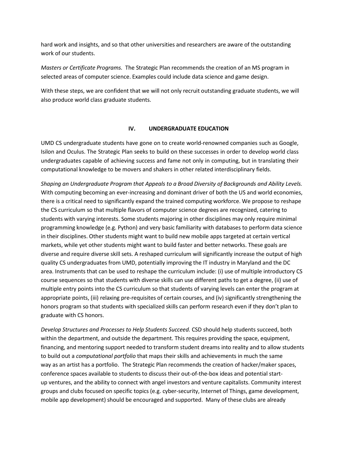hard work and insights, and so that other universities and researchers are aware of the outstanding work of our students.

*Masters or Certificate Programs.* The Strategic Plan recommends the creation of an MS program in selected areas of computer science. Examples could include data science and game design.

With these steps, we are confident that we will not only recruit outstanding graduate students, we will also produce world class graduate students.

#### **IV. UNDERGRADUATE EDUCATION**

UMD CS undergraduate students have gone on to create world-renowned companies such as Google, Isilon and Oculus. The Strategic Plan seeks to build on these successes in order to develop world class undergraduates capable of achieving success and fame not only in computing, but in translating their computational knowledge to be movers and shakers in other related interdisciplinary fields.

*Shaping an Undergraduate Program that Appeals to a Broad Diversity of Backgrounds and Ability Levels.* With computing becoming an ever-increasing and dominant driver of both the US and world economies, there is a critical need to significantly expand the trained computing workforce. We propose to reshape the CS curriculum so that multiple flavors of computer science degrees are recognized, catering to students with varying interests. Some students majoring in other disciplines may only require minimal programming knowledge (e.g. Python) and very basic familiarity with databases to perform data science in their disciplines. Other students might want to build new mobile apps targeted at certain vertical markets, while yet other students might want to build faster and better networks. These goals are diverse and require diverse skill sets. A reshaped curriculum will significantly increase the output of high quality CS undergraduates from UMD, potentially improving the IT industry in Maryland and the DC area. Instruments that can be used to reshape the curriculum include: (i) use of multiple introductory CS course sequences so that students with diverse skills can use different paths to get a degree, (ii) use of multiple entry points into the CS curriculum so that students of varying levels can enter the program at appropriate points, (iii) relaxing pre-requisites of certain courses, and (iv) significantly strengthening the honors program so that students with specialized skills can perform research even if they don't plan to graduate with CS honors.

*Develop Structures and Processes to Help Students Succeed.* CSD should help students succeed, both within the department, and outside the department. This requires providing the space, equipment, financing, and mentoring support needed to transform student dreams into reality and to allow students to build out a *computational portfolio* that maps their skills and achievements in much the same way as an artist has a portfolio. The Strategic Plan recommends the creation of hacker/maker spaces, conference spaces available to students to discuss their out-of-the-box ideas and potential startup ventures, and the ability to connect with angel investors and venture capitalists. Community interest groups and clubs focused on specific topics (e.g. cyber-security, Internet of Things, game development, mobile app development) should be encouraged and supported. Many of these clubs are already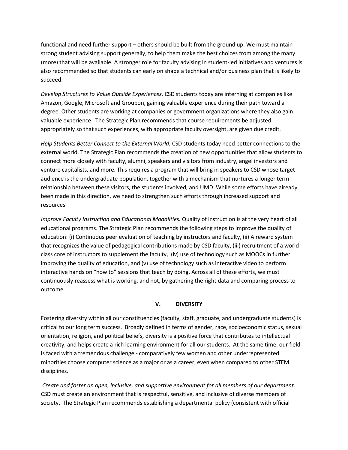functional and need further support – others should be built from the ground up. We must maintain strong student advising support generally, to help them make the best choices from among the many (more) that will be available. A stronger role for faculty advising in student-led initiatives and ventures is also recommended so that students can early on shape a technical and/or business plan that is likely to succeed.

*Develop Structures to Value Outside Experiences.* CSD students today are interning at companies like Amazon, Google, Microsoft and Groupon, gaining valuable experience during their path toward a degree. Other students are working at companies or government organizations where they also gain valuable experience. The Strategic Plan recommends that course requirements be adjusted appropriately so that such experiences, with appropriate faculty oversight, are given due credit.

*Help Students Better Connect to the External World.* CSD students today need better connections to the external world. The Strategic Plan recommends the creation of new opportunities that allow students to connect more closely with faculty, alumni, speakers and visitors from industry, angel investors and venture capitalists, and more. This requires a program that will bring in speakers to CSD whose target audience is the undergraduate population, together with a mechanism that nurtures a longer term relationship between these visitors, the students involved, and UMD. While some efforts have already been made in this direction, we need to strengthen such efforts through increased support and resources.

*Improve Faculty Instruction and Educational Modalities.* Quality of instruction is at the very heart of all educational programs. The Strategic Plan recommends the following steps to improve the quality of education: (i) Continuous peer evaluation of teaching by instructors and faculty, (ii) A reward system that recognizes the value of pedagogical contributions made by CSD faculty, (iii) recruitment of a world class core of instructors to supplement the faculty, (iv) use of technology such as MOOCs in further improving the quality of education, and (v) use of technology such as interactive video to perform interactive hands on "how to" sessions that teach by doing. Across all of these efforts, we must continuously reassess what is working, and not, by gathering the right data and comparing process to outcome.

#### **V. DIVERSITY**

Fostering diversity within all our constituencies (faculty, staff, graduate, and undergraduate students) is critical to our long term success. Broadly defined in terms of gender, race, socioeconomic status, sexual orientation, religion, and political beliefs, diversity is a positive force that contributes to intellectual creativity, and helps create a rich learning environment for all our students. At the same time, our field is faced with a tremendous challenge - comparatively few women and other underrepresented minorities choose computer science as a major or as a career, even when compared to other STEM disciplines.

*Create and foster an open, inclusive, and supportive environment for all members of our department*. CSD must create an environment that is respectful, sensitive, and inclusive of diverse members of society. The Strategic Plan recommends establishing a departmental policy (consistent with official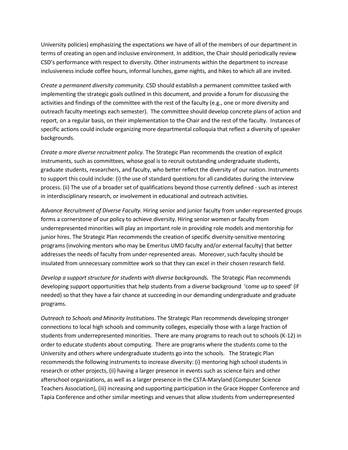University policies) emphasizing the expectations we have of all of the members of our department in terms of creating an open and inclusive environment. In addition, the Chair should periodically review CSD's performance with respect to diversity. Other instruments within the department to increase inclusiveness include coffee hours, informal lunches, game nights, and hikes to which all are invited.

*Create a permanent diversity community.* CSD should establish a permanent committee tasked with implementing the strategic goals outlined in this document, and provide a forum for discussing the activities and findings of the committee with the rest of the faculty (e.g., one or more diversity and outreach faculty meetings each semester). The committee should develop concrete plans of action and report, on a regular basis, on their implementation to the Chair and the rest of the faculty. Instances of specific actions could include organizing more departmental colloquia that reflect a diversity of speaker backgrounds.

*Create a more diverse recruitment policy.* The Strategic Plan recommends the creation of explicit instruments, such as committees, whose goal is to recruit outstanding undergraduate students, graduate students, researchers, and faculty, who better reflect the diversity of our nation. Instruments to support this could include: (i) the use of standard questions for all candidates during the interview process. (ii) The use of a broader set of qualifications beyond those currently defined - such as interest in interdisciplinary research, or involvement in educational and outreach activities.

*Advance Recruitment of Diverse Faculty.* Hiring senior and junior faculty from under-represented groups forms a cornerstone of our policy to achieve diversity. Hiring senior women or faculty from underrepresented minorities will play an important role in providing role models and mentorship for junior hires. The Strategic Plan recommends the creation of specific diversity-sensitive mentoring programs (involving mentors who may be Emeritus UMD faculty and/or external faculty) that better addresses the needs of faculty from under-represented areas. Moreover, such faculty should be insulated from unnecessary committee work so that they can excel in their chosen research field.

*Develop a support structure for students with diverse backgrounds.* The Strategic Plan recommends developing support opportunities that help students from a diverse background 'come up to speed' (if needed) so that they have a fair chance at succeeding in our demanding undergraduate and graduate programs.

*Outreach to Schools and Minority Institutions*. The Strategic Plan recommends developing stronger connections to local high schools and community colleges, especially those with a large fraction of students from underrepresented minorities. There are many programs to reach out to schools (K-12) in order to educate students about computing. There are programs where the students come to the University and others where undergraduate students go into the schools. The Strategic Plan recommends the following instruments to increase diversity: (i) mentoring high school students in research or other projects, (ii) having a larger presence in events such as science fairs and other afterschool organizations, as well as a larger presence in the CSTA-Maryland (Computer Science Teachers Association), (iii) increasing and supporting participation in the Grace Hopper Conference and Tapia Conference and other similar meetings and venues that allow students from underrepresented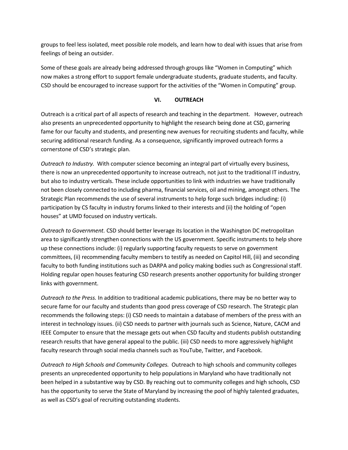groups to feel less isolated, meet possible role models, and learn how to deal with issues that arise from feelings of being an outsider.

Some of these goals are already being addressed through groups like "Women in Computing" which now makes a strong effort to support female undergraduate students, graduate students, and faculty. CSD should be encouraged to increase support for the activities of the "Women in Computing" group.

#### **VI. OUTREACH**

Outreach is a critical part of all aspects of research and teaching in the department. However, outreach also presents an unprecedented opportunity to highlight the research being done at CSD, garnering fame for our faculty and students, and presenting new avenues for recruiting students and faculty, while securing additional research funding. As a consequence, significantly improved outreach forms a cornerstone of CSD's strategic plan.

*Outreach to Industry.* With computer science becoming an integral part of virtually every business, there is now an unprecedented opportunity to increase outreach, not just to the traditional IT industry, but also to industry verticals. These include opportunities to link with industries we have traditionally not been closely connected to including pharma, financial services, oil and mining, amongst others. The Strategic Plan recommends the use of several instruments to help forge such bridges including: (i) participation by CS faculty in industry forums linked to their interests and (ii) the holding of "open houses" at UMD focused on industry verticals.

*Outreach to Government.* CSD should better leverage its location in the Washington DC metropolitan area to significantly strengthen connections with the US government. Specific instruments to help shore up these connections include: (i) regularly supporting faculty requests to serve on government committees, (ii) recommending faculty members to testify as needed on Capitol Hill, (iii) and seconding faculty to both funding institutions such as DARPA and policy making bodies such as Congressional staff. Holding regular open houses featuring CSD research presents another opportunity for building stronger links with government.

*Outreach to the Press.* In addition to traditional academic publications, there may be no better way to secure fame for our faculty and students than good press coverage of CSD research. The Strategic plan recommends the following steps: (i) CSD needs to maintain a database of members of the press with an interest in technology issues. (ii) CSD needs to partner with journals such as Science, Nature, CACM and IEEE Computer to ensure that the message gets out when CSD faculty and students publish outstanding research results that have general appeal to the public. (iii) CSD needs to more aggressively highlight faculty research through social media channels such as YouTube, Twitter, and Facebook.

*Outreach to High Schools and Community Colleges.* Outreach to high schools and community colleges presents an unprecedented opportunity to help populations in Maryland who have traditionally not been helped in a substantive way by CSD. By reaching out to community colleges and high schools, CSD has the opportunity to serve the State of Maryland by increasing the pool of highly talented graduates, as well as CSD's goal of recruiting outstanding students.